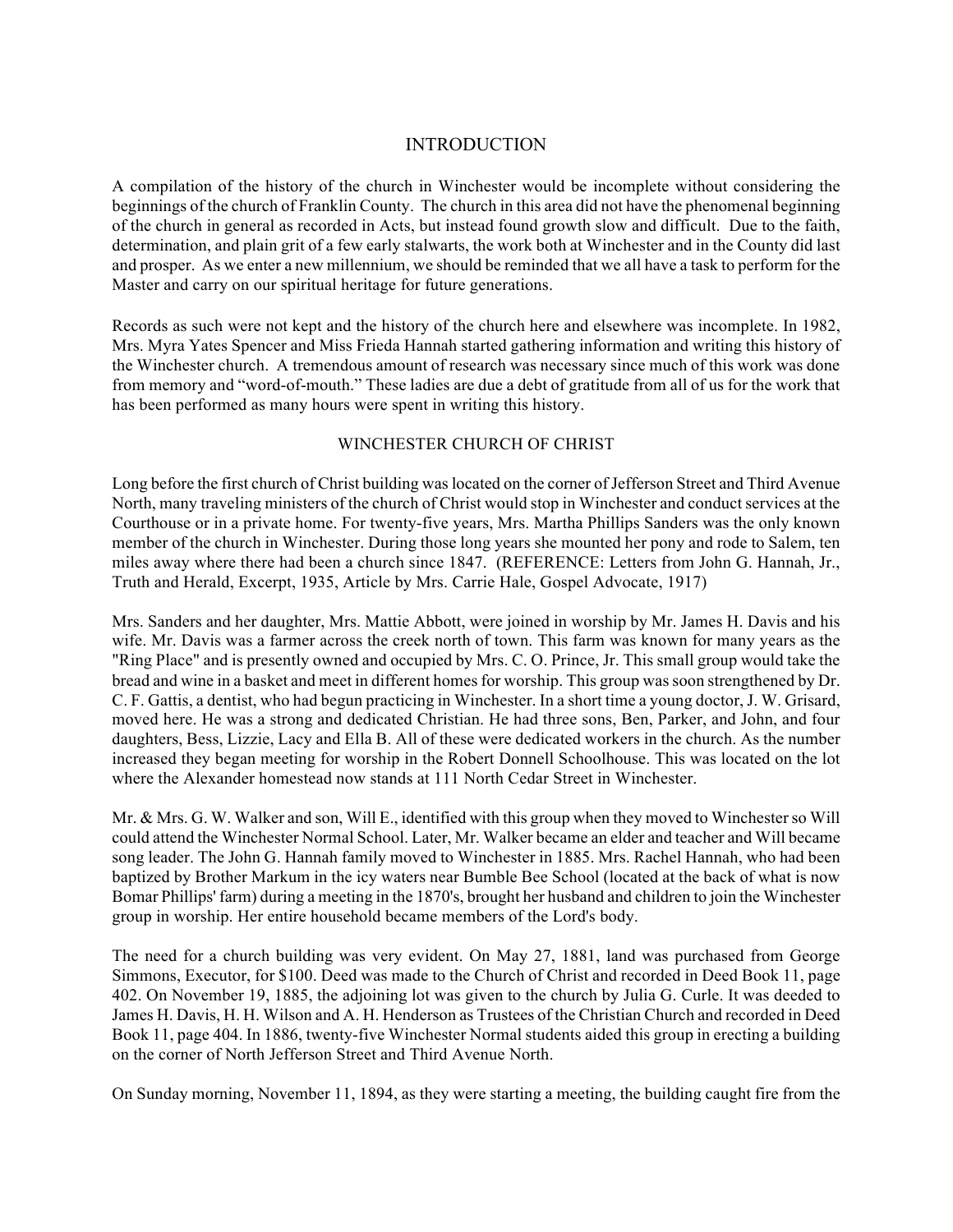## INTRODUCTION

A compilation of the history of the church in Winchester would be incomplete without considering the beginnings of the church of Franklin County. The church in this area did not have the phenomenal beginning of the church in general as recorded in Acts, but instead found growth slow and difficult. Due to the faith, determination, and plain grit of a few early stalwarts, the work both at Winchester and in the County did last and prosper. As we enter a new millennium, we should be reminded that we all have a task to perform for the Master and carry on our spiritual heritage for future generations.

Records as such were not kept and the history of the church here and elsewhere was incomplete. In 1982, Mrs. Myra Yates Spencer and Miss Frieda Hannah started gathering information and writing this history of the Winchester church. A tremendous amount of research was necessary since much of this work was done from memory and "word-of-mouth." These ladies are due a debt of gratitude from all of us for the work that has been performed as many hours were spent in writing this history.

## WINCHESTER CHURCH OF CHRIST

Long before the first church of Christ building was located on the corner of Jefferson Street and Third Avenue North, many traveling ministers of the church of Christ would stop in Winchester and conduct services at the Courthouse or in a private home. For twenty-five years, Mrs. Martha Phillips Sanders was the only known member of the church in Winchester. During those long years she mounted her pony and rode to Salem, ten miles away where there had been a church since 1847. (REFERENCE: Letters from John G. Hannah, Jr., Truth and Herald, Excerpt, 1935, Article by Mrs. Carrie Hale, Gospel Advocate, 1917)

Mrs. Sanders and her daughter, Mrs. Mattie Abbott, were joined in worship by Mr. James H. Davis and his wife. Mr. Davis was a farmer across the creek north of town. This farm was known for many years as the "Ring Place" and is presently owned and occupied by Mrs. C. O. Prince, Jr. This small group would take the bread and wine in a basket and meet in different homes for worship. This group was soon strengthened by Dr. C. F. Gattis, a dentist, who had begun practicing in Winchester. In a short time a young doctor, J. W. Grisard, moved here. He was a strong and dedicated Christian. He had three sons, Ben, Parker, and John, and four daughters, Bess, Lizzie, Lacy and Ella B. All of these were dedicated workers in the church. As the number increased they began meeting for worship in the Robert Donnell Schoolhouse. This was located on the lot where the Alexander homestead now stands at 111 North Cedar Street in Winchester.

Mr. & Mrs. G. W. Walker and son, Will E., identified with this group when they moved to Winchester so Will could attend the Winchester Normal School. Later, Mr. Walker became an elder and teacher and Will became song leader. The John G. Hannah family moved to Winchester in 1885. Mrs. Rachel Hannah, who had been baptized by Brother Markum in the icy waters near Bumble Bee School (located at the back of what is now Bomar Phillips' farm) during a meeting in the 1870's, brought her husband and children to join the Winchester group in worship. Her entire household became members of the Lord's body.

The need for a church building was very evident. On May 27, 1881, land was purchased from George Simmons, Executor, for \$100. Deed was made to the Church of Christ and recorded in Deed Book 11, page 402. On November 19, 1885, the adjoining lot was given to the church by Julia G. Curle. It was deeded to James H. Davis, H. H. Wilson and A. H. Henderson as Trustees of the Christian Church and recorded in Deed Book 11, page 404. In 1886, twenty-five Winchester Normal students aided this group in erecting a building on the corner of North Jefferson Street and Third Avenue North.

On Sunday morning, November 11, 1894, as they were starting a meeting, the building caught fire from the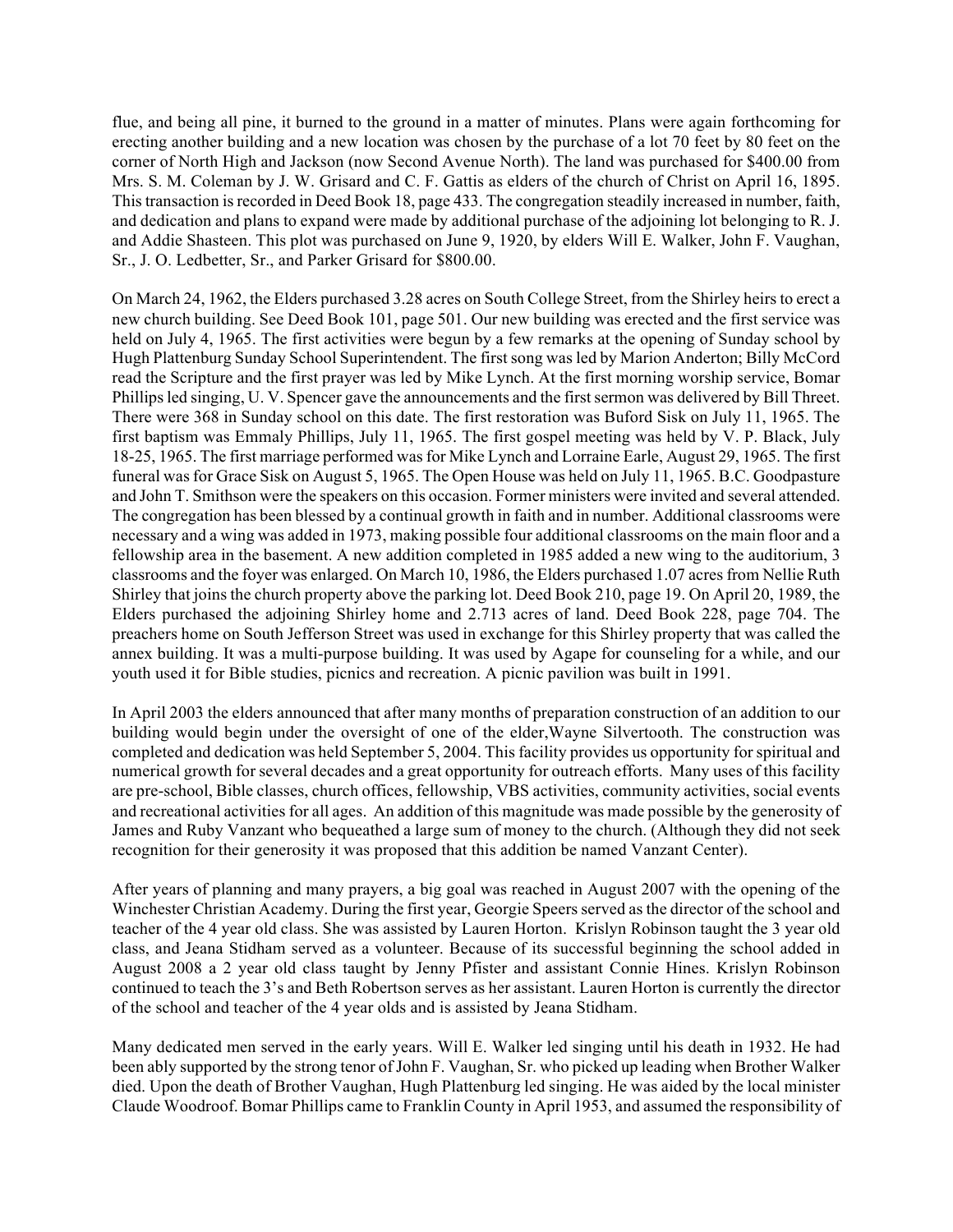flue, and being all pine, it burned to the ground in a matter of minutes. Plans were again forthcoming for erecting another building and a new location was chosen by the purchase of a lot 70 feet by 80 feet on the corner of North High and Jackson (now Second Avenue North). The land was purchased for \$400.00 from Mrs. S. M. Coleman by J. W. Grisard and C. F. Gattis as elders of the church of Christ on April 16, 1895. This transaction is recorded in Deed Book 18, page 433. The congregation steadily increased in number, faith, and dedication and plans to expand were made by additional purchase of the adjoining lot belonging to R. J. and Addie Shasteen. This plot was purchased on June 9, 1920, by elders Will E. Walker, John F. Vaughan, Sr., J. O. Ledbetter, Sr., and Parker Grisard for \$800.00.

On March 24, 1962, the Elders purchased 3.28 acres on South College Street, from the Shirley heirs to erect a new church building. See Deed Book 101, page 501. Our new building was erected and the first service was held on July 4, 1965. The first activities were begun by a few remarks at the opening of Sunday school by Hugh Plattenburg Sunday School Superintendent. The first song was led by Marion Anderton; Billy McCord read the Scripture and the first prayer was led by Mike Lynch. At the first morning worship service, Bomar Phillips led singing, U. V. Spencer gave the announcements and the first sermon was delivered by Bill Threet. There were 368 in Sunday school on this date. The first restoration was Buford Sisk on July 11, 1965. The first baptism was Emmaly Phillips, July 11, 1965. The first gospel meeting was held by V. P. Black, July 18-25, 1965. The first marriage performed was for Mike Lynch and Lorraine Earle, August 29, 1965. The first funeral was for Grace Sisk on August 5, 1965. The Open House was held on July 11, 1965. B.C. Goodpasture and John T. Smithson were the speakers on this occasion. Former ministers were invited and several attended. The congregation has been blessed by a continual growth in faith and in number. Additional classrooms were necessary and a wing was added in 1973, making possible four additional classrooms on the main floor and a fellowship area in the basement. A new addition completed in 1985 added a new wing to the auditorium, 3 classrooms and the foyer was enlarged. On March 10, 1986, the Elders purchased 1.07 acres from Nellie Ruth Shirley that joins the church property above the parking lot. Deed Book 210, page 19. On April 20, 1989, the Elders purchased the adjoining Shirley home and 2.713 acres of land. Deed Book 228, page 704. The preachers home on South Jefferson Street was used in exchange for this Shirley property that was called the annex building. It was a multi-purpose building. It was used by Agape for counseling for a while, and our youth used it for Bible studies, picnics and recreation. A picnic pavilion was built in 1991.

In April 2003 the elders announced that after many months of preparation construction of an addition to our building would begin under the oversight of one of the elder,Wayne Silvertooth. The construction was completed and dedication was held September 5, 2004. This facility provides us opportunity for spiritual and numerical growth for several decades and a great opportunity for outreach efforts. Many uses of this facility are pre-school, Bible classes, church offices, fellowship, VBS activities, community activities, social events and recreational activities for all ages. An addition of this magnitude was made possible by the generosity of James and Ruby Vanzant who bequeathed a large sum of money to the church. (Although they did not seek recognition for their generosity it was proposed that this addition be named Vanzant Center).

After years of planning and many prayers, a big goal was reached in August 2007 with the opening of the Winchester Christian Academy. During the first year, Georgie Speers served as the director of the school and teacher of the 4 year old class. She was assisted by Lauren Horton. Krislyn Robinson taught the 3 year old class, and Jeana Stidham served as a volunteer. Because of its successful beginning the school added in August 2008 a 2 year old class taught by Jenny Pfister and assistant Connie Hines. Krislyn Robinson continued to teach the 3's and Beth Robertson serves as her assistant. Lauren Horton is currently the director of the school and teacher of the 4 year olds and is assisted by Jeana Stidham.

Many dedicated men served in the early years. Will E. Walker led singing until his death in 1932. He had been ably supported by the strong tenor of John F. Vaughan, Sr. who picked up leading when Brother Walker died. Upon the death of Brother Vaughan, Hugh Plattenburg led singing. He was aided by the local minister Claude Woodroof. Bomar Phillips came to Franklin County in April 1953, and assumed the responsibility of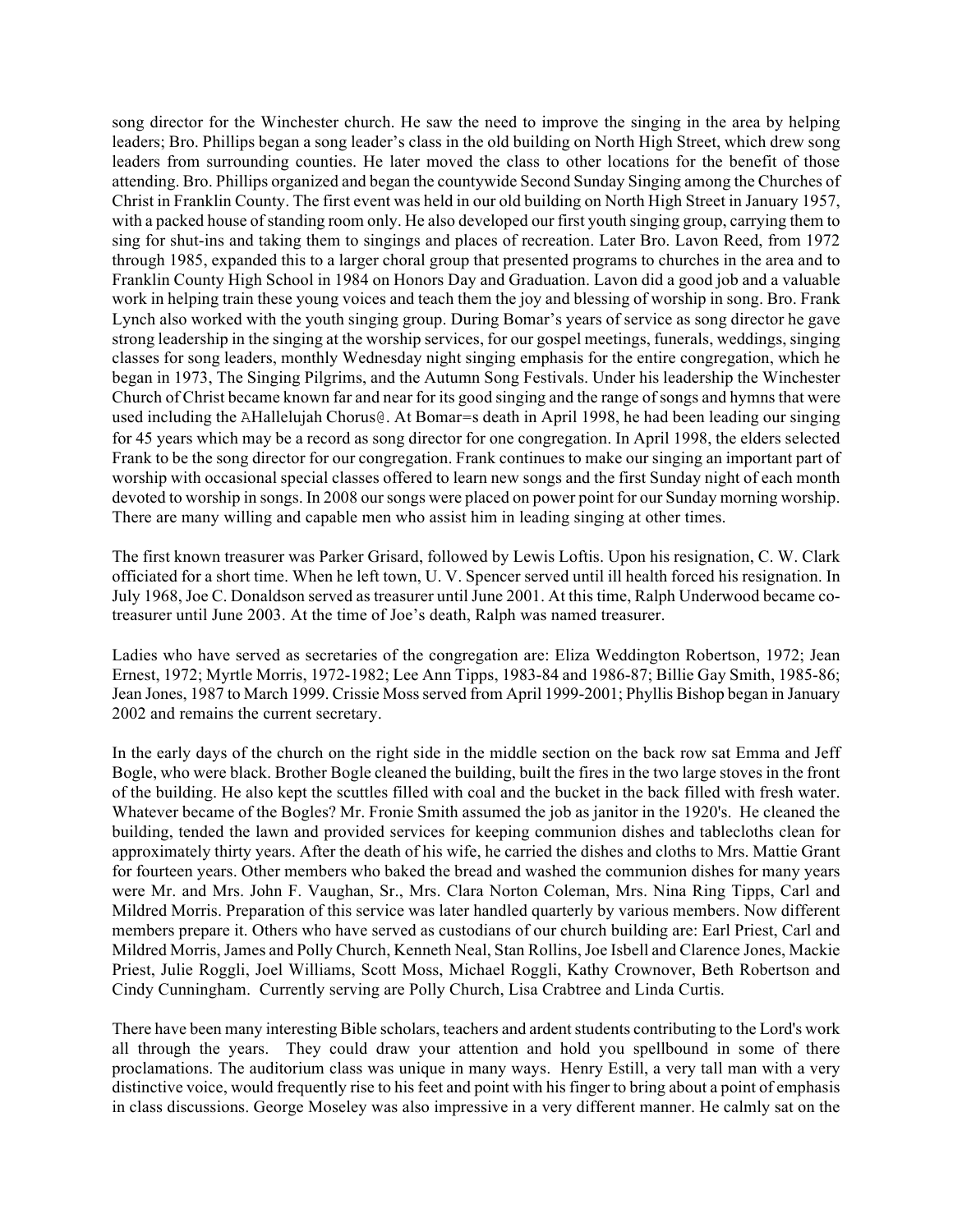song director for the Winchester church. He saw the need to improve the singing in the area by helping leaders; Bro. Phillips began a song leader's class in the old building on North High Street, which drew song leaders from surrounding counties. He later moved the class to other locations for the benefit of those attending. Bro. Phillips organized and began the countywide Second Sunday Singing among the Churches of Christ in Franklin County. The first event was held in our old building on North High Street in January 1957, with a packed house of standing room only. He also developed our first youth singing group, carrying them to sing for shut-ins and taking them to singings and places of recreation. Later Bro. Lavon Reed, from 1972 through 1985, expanded this to a larger choral group that presented programs to churches in the area and to Franklin County High School in 1984 on Honors Day and Graduation. Lavon did a good job and a valuable work in helping train these young voices and teach them the joy and blessing of worship in song. Bro. Frank Lynch also worked with the youth singing group. During Bomar's years of service as song director he gave strong leadership in the singing at the worship services, for our gospel meetings, funerals, weddings, singing classes for song leaders, monthly Wednesday night singing emphasis for the entire congregation, which he began in 1973, The Singing Pilgrims, and the Autumn Song Festivals. Under his leadership the Winchester Church of Christ became known far and near for its good singing and the range of songs and hymns that were used including the AHallelujah Chorus@. At Bomar=s death in April 1998, he had been leading our singing for 45 years which may be a record as song director for one congregation. In April 1998, the elders selected Frank to be the song director for our congregation. Frank continues to make our singing an important part of worship with occasional special classes offered to learn new songs and the first Sunday night of each month devoted to worship in songs. In 2008 our songs were placed on power point for our Sunday morning worship. There are many willing and capable men who assist him in leading singing at other times.

The first known treasurer was Parker Grisard, followed by Lewis Loftis. Upon his resignation, C. W. Clark officiated for a short time. When he left town, U. V. Spencer served until ill health forced his resignation. In July 1968, Joe C. Donaldson served as treasurer until June 2001. At this time, Ralph Underwood became cotreasurer until June 2003. At the time of Joe's death, Ralph was named treasurer.

Ladies who have served as secretaries of the congregation are: Eliza Weddington Robertson, 1972; Jean Ernest, 1972; Myrtle Morris, 1972-1982; Lee Ann Tipps, 1983-84 and 1986-87; Billie Gay Smith, 1985-86; Jean Jones, 1987 to March 1999. Crissie Moss served from April 1999-2001; Phyllis Bishop began in January 2002 and remains the current secretary.

In the early days of the church on the right side in the middle section on the back row sat Emma and Jeff Bogle, who were black. Brother Bogle cleaned the building, built the fires in the two large stoves in the front of the building. He also kept the scuttles filled with coal and the bucket in the back filled with fresh water. Whatever became of the Bogles? Mr. Fronie Smith assumed the job as janitor in the 1920's. He cleaned the building, tended the lawn and provided services for keeping communion dishes and tablecloths clean for approximately thirty years. After the death of his wife, he carried the dishes and cloths to Mrs. Mattie Grant for fourteen years. Other members who baked the bread and washed the communion dishes for many years were Mr. and Mrs. John F. Vaughan, Sr., Mrs. Clara Norton Coleman, Mrs. Nina Ring Tipps, Carl and Mildred Morris. Preparation of this service was later handled quarterly by various members. Now different members prepare it. Others who have served as custodians of our church building are: Earl Priest, Carl and Mildred Morris, James and Polly Church, Kenneth Neal, Stan Rollins, Joe Isbell and Clarence Jones, Mackie Priest, Julie Roggli, Joel Williams, Scott Moss, Michael Roggli, Kathy Crownover, Beth Robertson and Cindy Cunningham. Currently serving are Polly Church, Lisa Crabtree and Linda Curtis.

There have been many interesting Bible scholars, teachers and ardent students contributing to the Lord's work all through the years. They could draw your attention and hold you spellbound in some of there proclamations. The auditorium class was unique in many ways. Henry Estill, a very tall man with a very distinctive voice, would frequently rise to his feet and point with his finger to bring about a point of emphasis in class discussions. George Moseley was also impressive in a very different manner. He calmly sat on the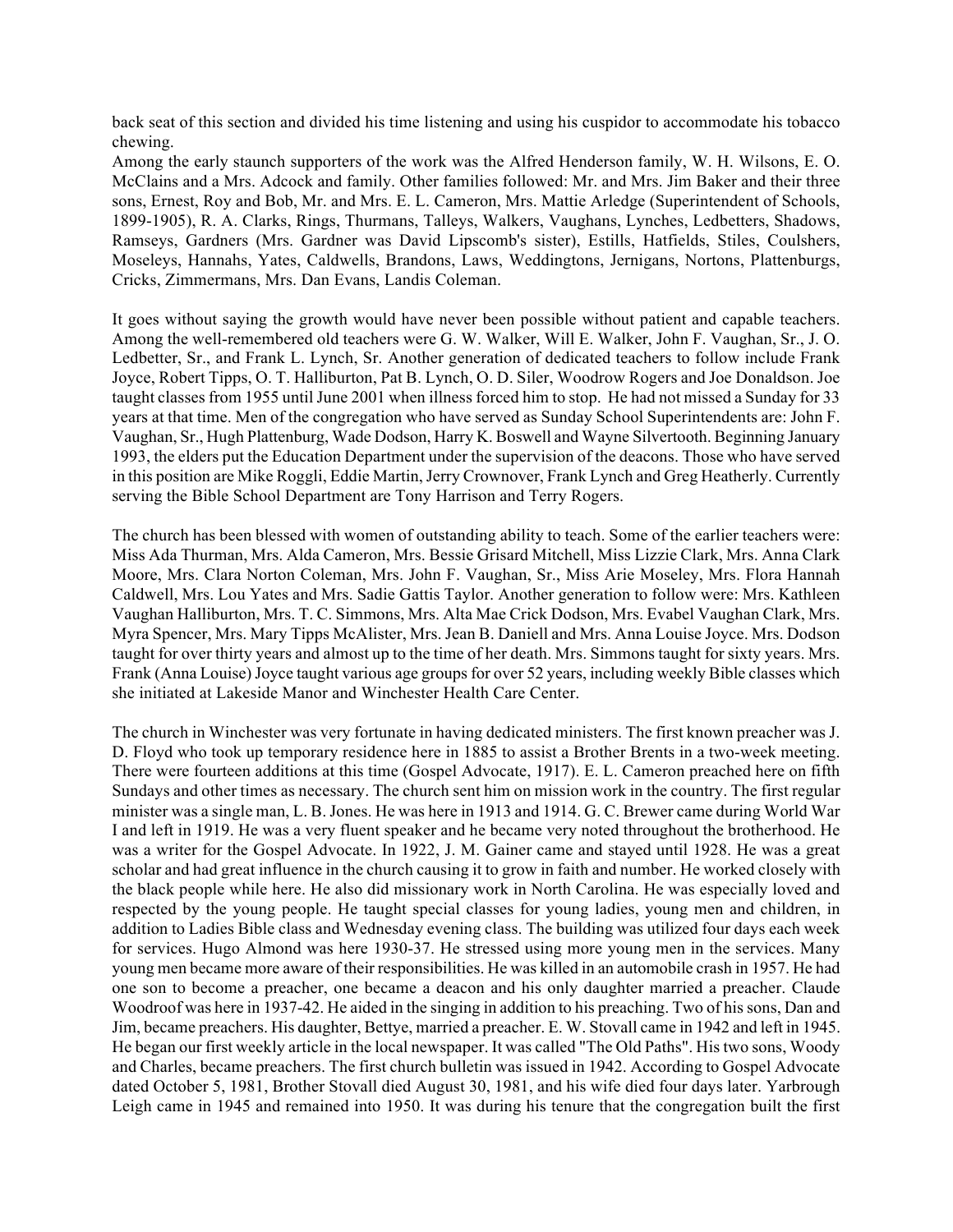back seat of this section and divided his time listening and using his cuspidor to accommodate his tobacco chewing.

Among the early staunch supporters of the work was the Alfred Henderson family, W. H. Wilsons, E. O. McClains and a Mrs. Adcock and family. Other families followed: Mr. and Mrs. Jim Baker and their three sons, Ernest, Roy and Bob, Mr. and Mrs. E. L. Cameron, Mrs. Mattie Arledge (Superintendent of Schools, 1899-1905), R. A. Clarks, Rings, Thurmans, Talleys, Walkers, Vaughans, Lynches, Ledbetters, Shadows, Ramseys, Gardners (Mrs. Gardner was David Lipscomb's sister), Estills, Hatfields, Stiles, Coulshers, Moseleys, Hannahs, Yates, Caldwells, Brandons, Laws, Weddingtons, Jernigans, Nortons, Plattenburgs, Cricks, Zimmermans, Mrs. Dan Evans, Landis Coleman.

It goes without saying the growth would have never been possible without patient and capable teachers. Among the well-remembered old teachers were G. W. Walker, Will E. Walker, John F. Vaughan, Sr., J. O. Ledbetter, Sr., and Frank L. Lynch, Sr. Another generation of dedicated teachers to follow include Frank Joyce, Robert Tipps, O. T. Halliburton, Pat B. Lynch, O. D. Siler, Woodrow Rogers and Joe Donaldson. Joe taught classes from 1955 until June 2001 when illness forced him to stop. He had not missed a Sunday for 33 years at that time. Men of the congregation who have served as Sunday School Superintendents are: John F. Vaughan, Sr., Hugh Plattenburg, Wade Dodson, Harry K. Boswell and Wayne Silvertooth. Beginning January 1993, the elders put the Education Department under the supervision of the deacons. Those who have served in this position are Mike Roggli, Eddie Martin, Jerry Crownover, Frank Lynch and Greg Heatherly. Currently serving the Bible School Department are Tony Harrison and Terry Rogers.

The church has been blessed with women of outstanding ability to teach. Some of the earlier teachers were: Miss Ada Thurman, Mrs. Alda Cameron, Mrs. Bessie Grisard Mitchell, Miss Lizzie Clark, Mrs. Anna Clark Moore, Mrs. Clara Norton Coleman, Mrs. John F. Vaughan, Sr., Miss Arie Moseley, Mrs. Flora Hannah Caldwell, Mrs. Lou Yates and Mrs. Sadie Gattis Taylor. Another generation to follow were: Mrs. Kathleen Vaughan Halliburton, Mrs. T. C. Simmons, Mrs. Alta Mae Crick Dodson, Mrs. Evabel Vaughan Clark, Mrs. Myra Spencer, Mrs. Mary Tipps McAlister, Mrs. Jean B. Daniell and Mrs. Anna Louise Joyce. Mrs. Dodson taught for over thirty years and almost up to the time of her death. Mrs. Simmons taught for sixty years. Mrs. Frank (Anna Louise) Joyce taught various age groups for over 52 years, including weekly Bible classes which she initiated at Lakeside Manor and Winchester Health Care Center.

The church in Winchester was very fortunate in having dedicated ministers. The first known preacher was J. D. Floyd who took up temporary residence here in 1885 to assist a Brother Brents in a two-week meeting. There were fourteen additions at this time (Gospel Advocate, 1917). E. L. Cameron preached here on fifth Sundays and other times as necessary. The church sent him on mission work in the country. The first regular minister was a single man, L. B. Jones. He was here in 1913 and 1914. G. C. Brewer came during World War I and left in 1919. He was a very fluent speaker and he became very noted throughout the brotherhood. He was a writer for the Gospel Advocate. In 1922, J. M. Gainer came and stayed until 1928. He was a great scholar and had great influence in the church causing it to grow in faith and number. He worked closely with the black people while here. He also did missionary work in North Carolina. He was especially loved and respected by the young people. He taught special classes for young ladies, young men and children, in addition to Ladies Bible class and Wednesday evening class. The building was utilized four days each week for services. Hugo Almond was here 1930-37. He stressed using more young men in the services. Many young men became more aware of their responsibilities. He was killed in an automobile crash in 1957. He had one son to become a preacher, one became a deacon and his only daughter married a preacher. Claude Woodroof was here in 1937-42. He aided in the singing in addition to his preaching. Two of his sons, Dan and Jim, became preachers. His daughter, Bettye, married a preacher. E. W. Stovall came in 1942 and left in 1945. He began our first weekly article in the local newspaper. It was called "The Old Paths". His two sons, Woody and Charles, became preachers. The first church bulletin was issued in 1942. According to Gospel Advocate dated October 5, 1981, Brother Stovall died August 30, 1981, and his wife died four days later. Yarbrough Leigh came in 1945 and remained into 1950. It was during his tenure that the congregation built the first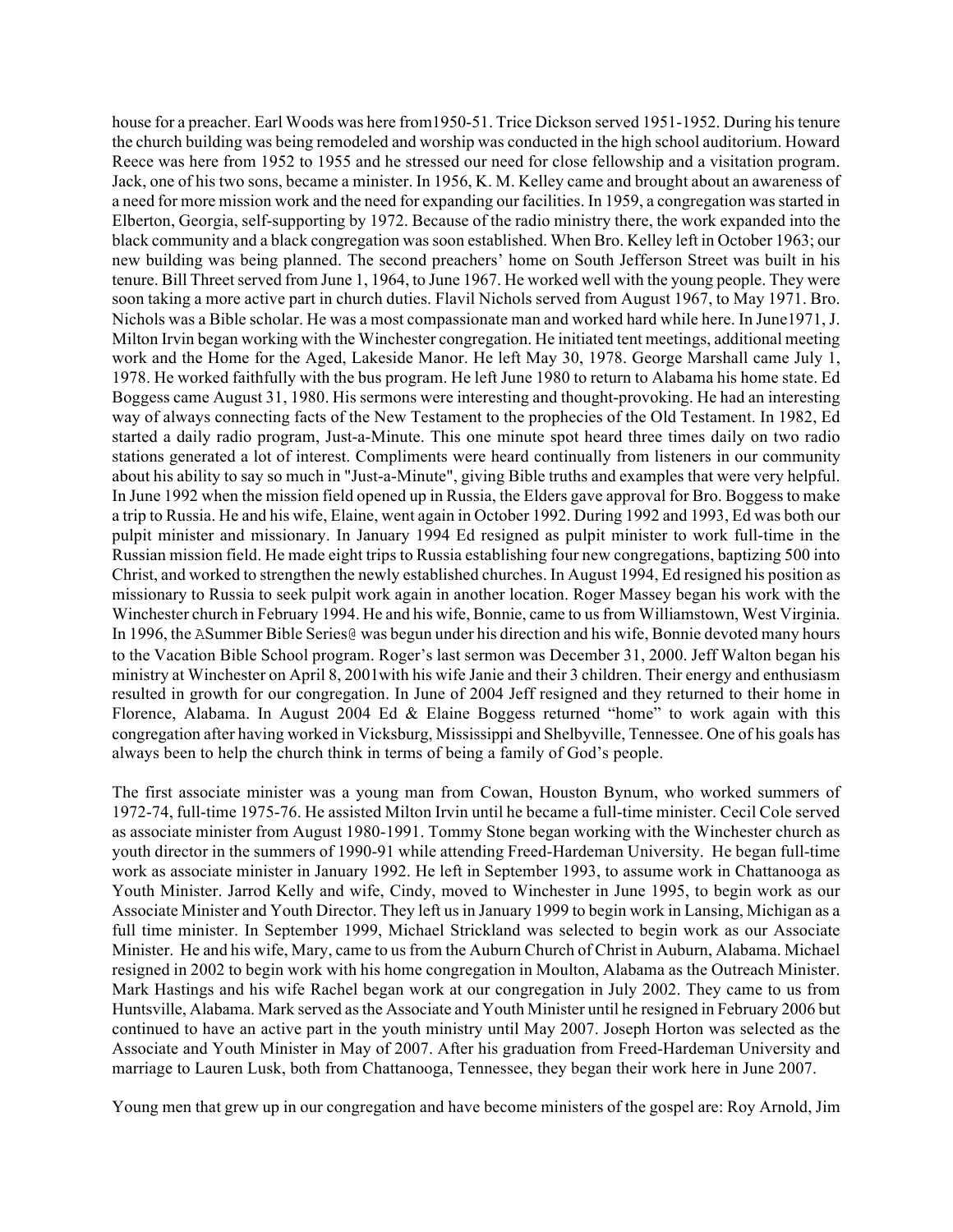house for a preacher. Earl Woods was here from1950-51. Trice Dickson served 1951-1952. During his tenure the church building was being remodeled and worship was conducted in the high school auditorium. Howard Reece was here from 1952 to 1955 and he stressed our need for close fellowship and a visitation program. Jack, one of his two sons, became a minister. In 1956, K. M. Kelley came and brought about an awareness of a need for more mission work and the need for expanding our facilities. In 1959, a congregation was started in Elberton, Georgia, self-supporting by 1972. Because of the radio ministry there, the work expanded into the black community and a black congregation was soon established. When Bro. Kelley left in October 1963; our new building was being planned. The second preachers' home on South Jefferson Street was built in his tenure. Bill Threet served from June 1, 1964, to June 1967. He worked well with the young people. They were soon taking a more active part in church duties. Flavil Nichols served from August 1967, to May 1971. Bro. Nichols was a Bible scholar. He was a most compassionate man and worked hard while here. In June1971, J. Milton Irvin began working with the Winchester congregation. He initiated tent meetings, additional meeting work and the Home for the Aged, Lakeside Manor. He left May 30, 1978. George Marshall came July 1, 1978. He worked faithfully with the bus program. He left June 1980 to return to Alabama his home state. Ed Boggess came August 31, 1980. His sermons were interesting and thought-provoking. He had an interesting way of always connecting facts of the New Testament to the prophecies of the Old Testament. In 1982, Ed started a daily radio program, Just-a-Minute. This one minute spot heard three times daily on two radio stations generated a lot of interest. Compliments were heard continually from listeners in our community about his ability to say so much in "Just-a-Minute", giving Bible truths and examples that were very helpful. In June 1992 when the mission field opened up in Russia, the Elders gave approval for Bro. Boggess to make a trip to Russia. He and his wife, Elaine, went again in October 1992. During 1992 and 1993, Ed was both our pulpit minister and missionary. In January 1994 Ed resigned as pulpit minister to work full-time in the Russian mission field. He made eight trips to Russia establishing four new congregations, baptizing 500 into Christ, and worked to strengthen the newly established churches. In August 1994, Ed resigned his position as missionary to Russia to seek pulpit work again in another location. Roger Massey began his work with the Winchester church in February 1994. He and his wife, Bonnie, came to us from Williamstown, West Virginia. In 1996, the ASummer Bible Series@ was begun under his direction and his wife, Bonnie devoted many hours to the Vacation Bible School program. Roger's last sermon was December 31, 2000. Jeff Walton began his ministry at Winchester on April 8, 2001with his wife Janie and their 3 children. Their energy and enthusiasm resulted in growth for our congregation. In June of 2004 Jeff resigned and they returned to their home in Florence, Alabama. In August 2004 Ed & Elaine Boggess returned "home" to work again with this congregation after having worked in Vicksburg, Mississippi and Shelbyville, Tennessee. One of his goals has always been to help the church think in terms of being a family of God's people.

The first associate minister was a young man from Cowan, Houston Bynum, who worked summers of 1972-74, full-time 1975-76. He assisted Milton Irvin until he became a full-time minister. Cecil Cole served as associate minister from August 1980-1991. Tommy Stone began working with the Winchester church as youth director in the summers of 1990-91 while attending Freed-Hardeman University. He began full-time work as associate minister in January 1992. He left in September 1993, to assume work in Chattanooga as Youth Minister. Jarrod Kelly and wife, Cindy, moved to Winchester in June 1995, to begin work as our Associate Minister and Youth Director. They left us in January 1999 to begin work in Lansing, Michigan as a full time minister. In September 1999, Michael Strickland was selected to begin work as our Associate Minister. He and his wife, Mary, came to us from the Auburn Church of Christ in Auburn, Alabama. Michael resigned in 2002 to begin work with his home congregation in Moulton, Alabama as the Outreach Minister. Mark Hastings and his wife Rachel began work at our congregation in July 2002. They came to us from Huntsville, Alabama. Mark served as the Associate and Youth Minister until he resigned in February 2006 but continued to have an active part in the youth ministry until May 2007. Joseph Horton was selected as the Associate and Youth Minister in May of 2007. After his graduation from Freed-Hardeman University and marriage to Lauren Lusk, both from Chattanooga, Tennessee, they began their work here in June 2007.

Young men that grew up in our congregation and have become ministers of the gospel are: Roy Arnold, Jim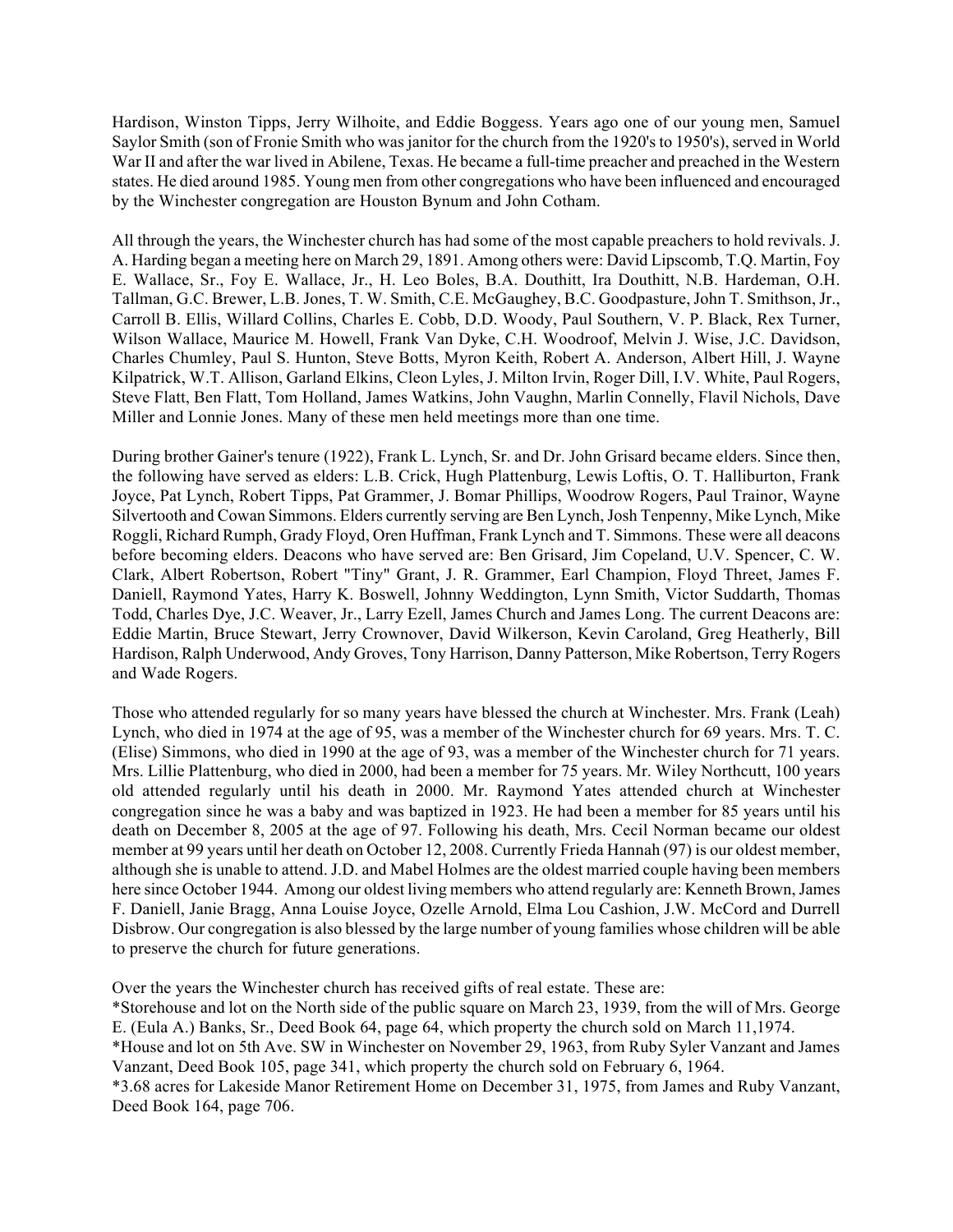Hardison, Winston Tipps, Jerry Wilhoite, and Eddie Boggess. Years ago one of our young men, Samuel Saylor Smith (son of Fronie Smith who was janitor for the church from the 1920's to 1950's), served in World War II and after the war lived in Abilene, Texas. He became a full-time preacher and preached in the Western states. He died around 1985. Young men from other congregations who have been influenced and encouraged by the Winchester congregation are Houston Bynum and John Cotham.

All through the years, the Winchester church has had some of the most capable preachers to hold revivals. J. A. Harding began a meeting here on March 29, 1891. Among others were: David Lipscomb, T.Q. Martin, Foy E. Wallace, Sr., Foy E. Wallace, Jr., H. Leo Boles, B.A. Douthitt, Ira Douthitt, N.B. Hardeman, O.H. Tallman, G.C. Brewer, L.B. Jones, T. W. Smith, C.E. McGaughey, B.C. Goodpasture, John T. Smithson, Jr., Carroll B. Ellis, Willard Collins, Charles E. Cobb, D.D. Woody, Paul Southern, V. P. Black, Rex Turner, Wilson Wallace, Maurice M. Howell, Frank Van Dyke, C.H. Woodroof, Melvin J. Wise, J.C. Davidson, Charles Chumley, Paul S. Hunton, Steve Botts, Myron Keith, Robert A. Anderson, Albert Hill, J. Wayne Kilpatrick, W.T. Allison, Garland Elkins, Cleon Lyles, J. Milton Irvin, Roger Dill, I.V. White, Paul Rogers, Steve Flatt, Ben Flatt, Tom Holland, James Watkins, John Vaughn, Marlin Connelly, Flavil Nichols, Dave Miller and Lonnie Jones. Many of these men held meetings more than one time.

During brother Gainer's tenure (1922), Frank L. Lynch, Sr. and Dr. John Grisard became elders. Since then, the following have served as elders: L.B. Crick, Hugh Plattenburg, Lewis Loftis, O. T. Halliburton, Frank Joyce, Pat Lynch, Robert Tipps, Pat Grammer, J. Bomar Phillips, Woodrow Rogers, Paul Trainor, Wayne Silvertooth and Cowan Simmons. Elders currently serving are Ben Lynch, Josh Tenpenny, Mike Lynch, Mike Roggli, Richard Rumph, Grady Floyd, Oren Huffman, Frank Lynch and T. Simmons. These were all deacons before becoming elders. Deacons who have served are: Ben Grisard, Jim Copeland, U.V. Spencer, C. W. Clark, Albert Robertson, Robert "Tiny" Grant, J. R. Grammer, Earl Champion, Floyd Threet, James F. Daniell, Raymond Yates, Harry K. Boswell, Johnny Weddington, Lynn Smith, Victor Suddarth, Thomas Todd, Charles Dye, J.C. Weaver, Jr., Larry Ezell, James Church and James Long. The current Deacons are: Eddie Martin, Bruce Stewart, Jerry Crownover, David Wilkerson, Kevin Caroland, Greg Heatherly, Bill Hardison, Ralph Underwood, Andy Groves, Tony Harrison, Danny Patterson, Mike Robertson, Terry Rogers and Wade Rogers.

Those who attended regularly for so many years have blessed the church at Winchester. Mrs. Frank (Leah) Lynch, who died in 1974 at the age of 95, was a member of the Winchester church for 69 years. Mrs. T. C. (Elise) Simmons, who died in 1990 at the age of 93, was a member of the Winchester church for 71 years. Mrs. Lillie Plattenburg, who died in 2000, had been a member for 75 years. Mr. Wiley Northcutt, 100 years old attended regularly until his death in 2000. Mr. Raymond Yates attended church at Winchester congregation since he was a baby and was baptized in 1923. He had been a member for 85 years until his death on December 8, 2005 at the age of 97. Following his death, Mrs. Cecil Norman became our oldest member at 99 years until her death on October 12, 2008. Currently Frieda Hannah (97) is our oldest member, although she is unable to attend. J.D. and Mabel Holmes are the oldest married couple having been members here since October 1944. Among our oldest living members who attend regularly are: Kenneth Brown, James F. Daniell, Janie Bragg, Anna Louise Joyce, Ozelle Arnold, Elma Lou Cashion, J.W. McCord and Durrell Disbrow. Our congregation is also blessed by the large number of young families whose children will be able to preserve the church for future generations.

Over the years the Winchester church has received gifts of real estate. These are:

\*Storehouse and lot on the North side of the public square on March 23, 1939, from the will of Mrs. George E. (Eula A.) Banks, Sr., Deed Book 64, page 64, which property the church sold on March 11,1974. \*House and lot on 5th Ave. SW in Winchester on November 29, 1963, from Ruby Syler Vanzant and James Vanzant, Deed Book 105, page 341, which property the church sold on February 6, 1964.

\*3.68 acres for Lakeside Manor Retirement Home on December 31, 1975, from James and Ruby Vanzant, Deed Book 164, page 706.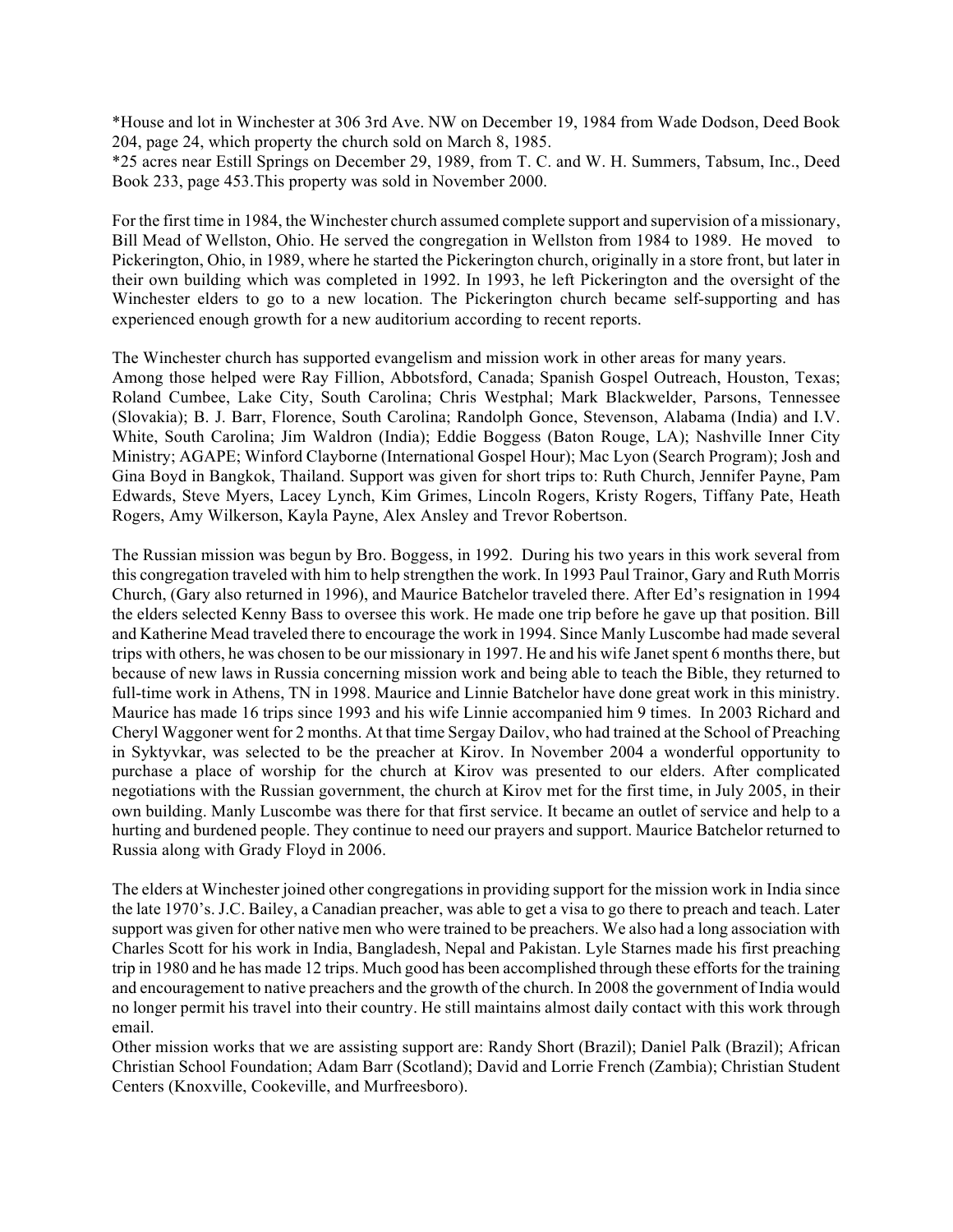\*House and lot in Winchester at 306 3rd Ave. NW on December 19, 1984 from Wade Dodson, Deed Book 204, page 24, which property the church sold on March 8, 1985.

\*25 acres near Estill Springs on December 29, 1989, from T. C. and W. H. Summers, Tabsum, Inc., Deed Book 233, page 453.This property was sold in November 2000.

For the first time in 1984, the Winchester church assumed complete support and supervision of a missionary, Bill Mead of Wellston, Ohio. He served the congregation in Wellston from 1984 to 1989. He moved to Pickerington, Ohio, in 1989, where he started the Pickerington church, originally in a store front, but later in their own building which was completed in 1992. In 1993, he left Pickerington and the oversight of the Winchester elders to go to a new location. The Pickerington church became self-supporting and has experienced enough growth for a new auditorium according to recent reports.

The Winchester church has supported evangelism and mission work in other areas for many years.

Among those helped were Ray Fillion, Abbotsford, Canada; Spanish Gospel Outreach, Houston, Texas; Roland Cumbee, Lake City, South Carolina; Chris Westphal; Mark Blackwelder, Parsons, Tennessee (Slovakia); B. J. Barr, Florence, South Carolina; Randolph Gonce, Stevenson, Alabama (India) and I.V. White, South Carolina; Jim Waldron (India); Eddie Boggess (Baton Rouge, LA); Nashville Inner City Ministry; AGAPE; Winford Clayborne (International Gospel Hour); Mac Lyon (Search Program); Josh and Gina Boyd in Bangkok, Thailand. Support was given for short trips to: Ruth Church, Jennifer Payne, Pam Edwards, Steve Myers, Lacey Lynch, Kim Grimes, Lincoln Rogers, Kristy Rogers, Tiffany Pate, Heath Rogers, Amy Wilkerson, Kayla Payne, Alex Ansley and Trevor Robertson.

The Russian mission was begun by Bro. Boggess, in 1992. During his two years in this work several from this congregation traveled with him to help strengthen the work. In 1993 Paul Trainor, Gary and Ruth Morris Church, (Gary also returned in 1996), and Maurice Batchelor traveled there. After Ed's resignation in 1994 the elders selected Kenny Bass to oversee this work. He made one trip before he gave up that position. Bill and Katherine Mead traveled there to encourage the work in 1994. Since Manly Luscombe had made several trips with others, he was chosen to be our missionary in 1997. He and his wife Janet spent 6 months there, but because of new laws in Russia concerning mission work and being able to teach the Bible, they returned to full-time work in Athens, TN in 1998. Maurice and Linnie Batchelor have done great work in this ministry. Maurice has made 16 trips since 1993 and his wife Linnie accompanied him 9 times. In 2003 Richard and Cheryl Waggoner went for 2 months. At that time Sergay Dailov, who had trained at the School of Preaching in Syktyvkar, was selected to be the preacher at Kirov. In November 2004 a wonderful opportunity to purchase a place of worship for the church at Kirov was presented to our elders. After complicated negotiations with the Russian government, the church at Kirov met for the first time, in July 2005, in their own building. Manly Luscombe was there for that first service. It became an outlet of service and help to a hurting and burdened people. They continue to need our prayers and support. Maurice Batchelor returned to Russia along with Grady Floyd in 2006.

The elders at Winchester joined other congregations in providing support for the mission work in India since the late 1970's. J.C. Bailey, a Canadian preacher, was able to get a visa to go there to preach and teach. Later support was given for other native men who were trained to be preachers. We also had a long association with Charles Scott for his work in India, Bangladesh, Nepal and Pakistan. Lyle Starnes made his first preaching trip in 1980 and he has made 12 trips. Much good has been accomplished through these efforts for the training and encouragement to native preachers and the growth of the church. In 2008 the government of India would no longer permit his travel into their country. He still maintains almost daily contact with this work through email.

Other mission works that we are assisting support are: Randy Short (Brazil); Daniel Palk (Brazil); African Christian School Foundation; Adam Barr (Scotland); David and Lorrie French (Zambia); Christian Student Centers (Knoxville, Cookeville, and Murfreesboro).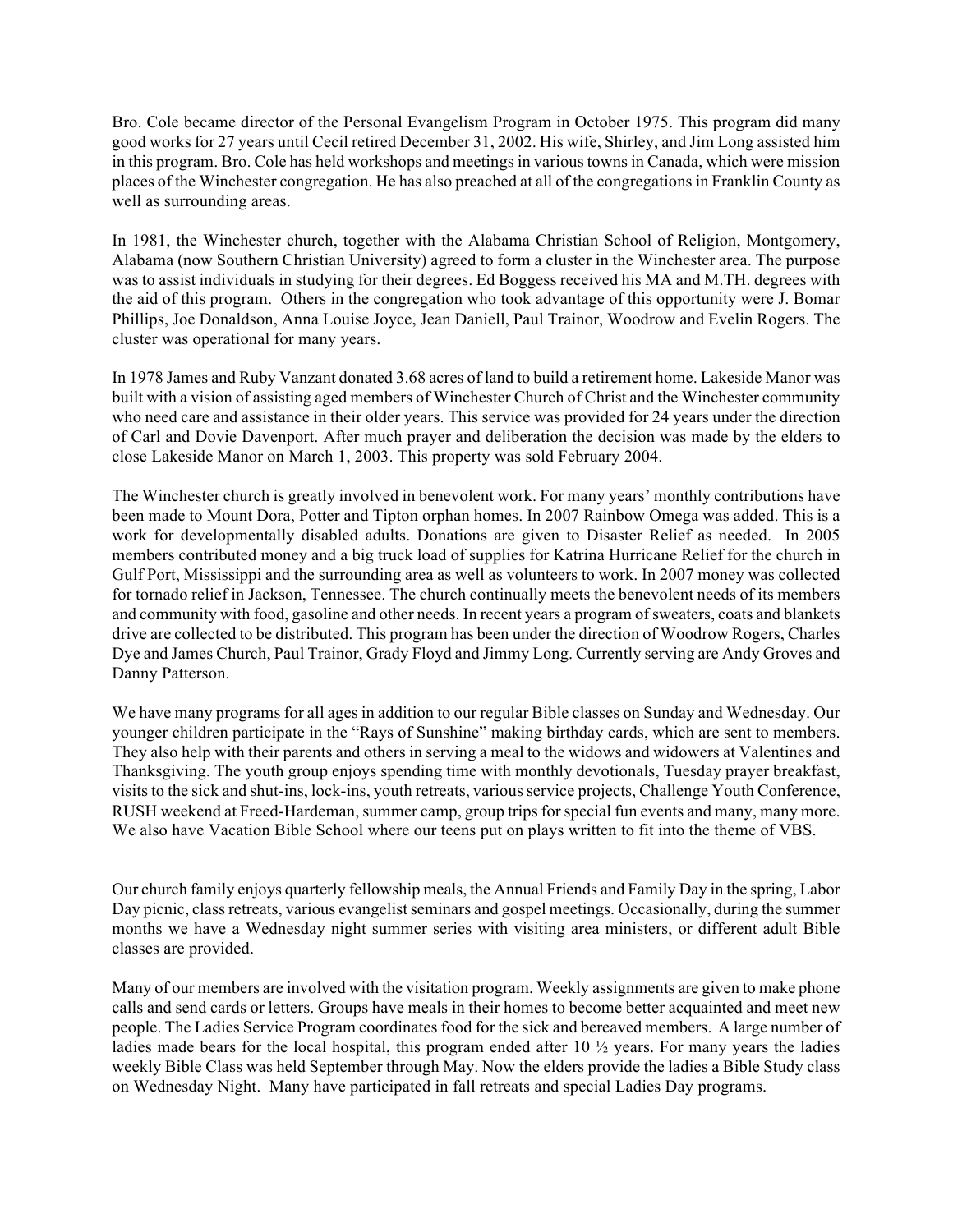Bro. Cole became director of the Personal Evangelism Program in October 1975. This program did many good works for 27 years until Cecil retired December 31, 2002. His wife, Shirley, and Jim Long assisted him in this program. Bro. Cole has held workshops and meetings in various towns in Canada, which were mission places of the Winchester congregation. He has also preached at all of the congregations in Franklin County as well as surrounding areas.

In 1981, the Winchester church, together with the Alabama Christian School of Religion, Montgomery, Alabama (now Southern Christian University) agreed to form a cluster in the Winchester area. The purpose was to assist individuals in studying for their degrees. Ed Boggess received his MA and M.TH. degrees with the aid of this program. Others in the congregation who took advantage of this opportunity were J. Bomar Phillips, Joe Donaldson, Anna Louise Joyce, Jean Daniell, Paul Trainor, Woodrow and Evelin Rogers. The cluster was operational for many years.

In 1978 James and Ruby Vanzant donated 3.68 acres of land to build a retirement home. Lakeside Manor was built with a vision of assisting aged members of Winchester Church of Christ and the Winchester community who need care and assistance in their older years. This service was provided for 24 years under the direction of Carl and Dovie Davenport. After much prayer and deliberation the decision was made by the elders to close Lakeside Manor on March 1, 2003. This property was sold February 2004.

The Winchester church is greatly involved in benevolent work. For many years' monthly contributions have been made to Mount Dora, Potter and Tipton orphan homes. In 2007 Rainbow Omega was added. This is a work for developmentally disabled adults. Donations are given to Disaster Relief as needed. In 2005 members contributed money and a big truck load of supplies for Katrina Hurricane Relief for the church in Gulf Port, Mississippi and the surrounding area as well as volunteers to work. In 2007 money was collected for tornado relief in Jackson, Tennessee. The church continually meets the benevolent needs of its members and community with food, gasoline and other needs. In recent years a program of sweaters, coats and blankets drive are collected to be distributed. This program has been under the direction of Woodrow Rogers, Charles Dye and James Church, Paul Trainor, Grady Floyd and Jimmy Long. Currently serving are Andy Groves and Danny Patterson.

We have many programs for all ages in addition to our regular Bible classes on Sunday and Wednesday. Our younger children participate in the "Rays of Sunshine" making birthday cards, which are sent to members. They also help with their parents and others in serving a meal to the widows and widowers at Valentines and Thanksgiving. The youth group enjoys spending time with monthly devotionals, Tuesday prayer breakfast, visits to the sick and shut-ins, lock-ins, youth retreats, various service projects, Challenge Youth Conference, RUSH weekend at Freed-Hardeman, summer camp, group trips for special fun events and many, many more. We also have Vacation Bible School where our teens put on plays written to fit into the theme of VBS.

Our church family enjoys quarterly fellowship meals, the Annual Friends and Family Day in the spring, Labor Day picnic, class retreats, various evangelist seminars and gospel meetings. Occasionally, during the summer months we have a Wednesday night summer series with visiting area ministers, or different adult Bible classes are provided.

Many of our members are involved with the visitation program. Weekly assignments are given to make phone calls and send cards or letters. Groups have meals in their homes to become better acquainted and meet new people. The Ladies Service Program coordinates food for the sick and bereaved members. A large number of ladies made bears for the local hospital, this program ended after 10  $\frac{1}{2}$  years. For many years the ladies weekly Bible Class was held September through May. Now the elders provide the ladies a Bible Study class on Wednesday Night. Many have participated in fall retreats and special Ladies Day programs.